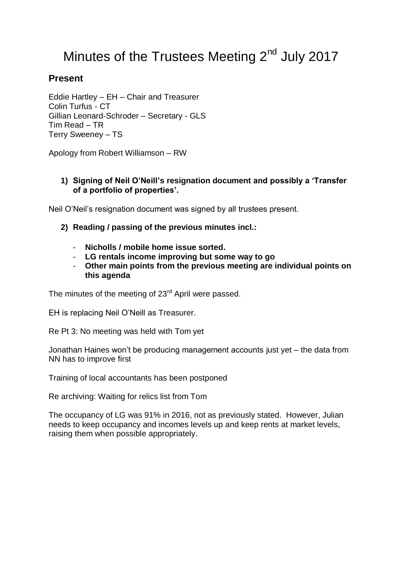# Minutes of the Trustees Meeting 2<sup>nd</sup> July 2017

# **Present**

Eddie Hartley – EH – Chair and Treasurer Colin Turfus - CT Gillian Leonard-Schroder – Secretary - GLS Tim Read – TR Terry Sweeney – TS

Apology from Robert Williamson – RW

# **1) Signing of Neil O'Neill's resignation document and possibly a 'Transfer of a portfolio of properties'.**

Neil O'Neil's resignation document was signed by all trustees present.

# **2) Reading / passing of the previous minutes incl.:**

- **Nicholls / mobile home issue sorted.**
- **LG rentals income improving but some way to go**
- **Other main points from the previous meeting are individual points on this agenda**

The minutes of the meeting of 23<sup>rd</sup> April were passed.

EH is replacing Neil O'Neill as Treasurer.

Re Pt 3: No meeting was held with Tom yet

Jonathan Haines won't be producing management accounts just yet – the data from NN has to improve first

Training of local accountants has been postponed

Re archiving: Waiting for relics list from Tom

The occupancy of LG was 91% in 2016, not as previously stated. However, Julian needs to keep occupancy and incomes levels up and keep rents at market levels, raising them when possible appropriately.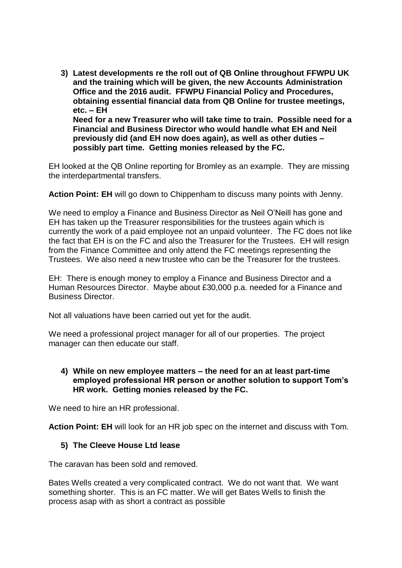**3) Latest developments re the roll out of QB Online throughout FFWPU UK and the training which will be given, the new Accounts Administration Office and the 2016 audit. FFWPU Financial Policy and Procedures, obtaining essential financial data from QB Online for trustee meetings, etc. – EH Need for a new Treasurer who will take time to train. Possible need for a Financial and Business Director who would handle what EH and Neil previously did (and EH now does again), as well as other duties – possibly part time. Getting monies released by the FC.**

EH looked at the QB Online reporting for Bromley as an example. They are missing the interdepartmental transfers.

**Action Point: EH** will go down to Chippenham to discuss many points with Jenny.

We need to employ a Finance and Business Director as Neil O'Neill has gone and EH has taken up the Treasurer responsibilities for the trustees again which is currently the work of a paid employee not an unpaid volunteer. The FC does not like the fact that EH is on the FC and also the Treasurer for the Trustees. EH will resign from the Finance Committee and only attend the FC meetings representing the Trustees. We also need a new trustee who can be the Treasurer for the trustees.

EH: There is enough money to employ a Finance and Business Director and a Human Resources Director. Maybe about £30,000 p.a. needed for a Finance and Business Director.

Not all valuations have been carried out yet for the audit.

We need a professional project manager for all of our properties. The project manager can then educate our staff.

### **4) While on new employee matters – the need for an at least part-time employed professional HR person or another solution to support Tom's HR work. Getting monies released by the FC.**

We need to hire an HR professional.

**Action Point: EH** will look for an HR job spec on the internet and discuss with Tom.

#### **5) The Cleeve House Ltd lease**

The caravan has been sold and removed.

Bates Wells created a very complicated contract. We do not want that. We want something shorter. This is an FC matter. We will get Bates Wells to finish the process asap with as short a contract as possible